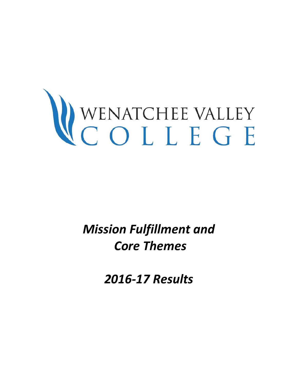# WENATCHEE VALLEY

*Mission Fulfillment and Core Themes* 

*2016-17 Results*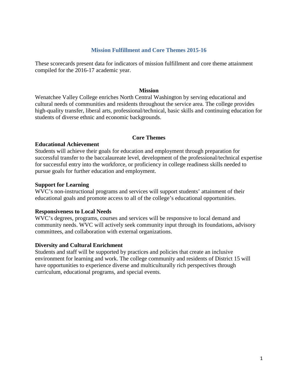#### **Mission Fulfillment and Core Themes 2015-16**

These scorecards present data for indicators of mission fulfillment and core theme attainment compiled for the 2016-17 academic year.

#### **Mission**

Wenatchee Valley College enriches North Central Washington by serving educational and cultural needs of communities and residents throughout the service area. The college provides high-quality transfer, liberal arts, professional/technical, basic skills and continuing education for students of diverse ethnic and economic backgrounds.

#### **Core Themes**

#### **Educational Achievement**

Students will achieve their goals for education and employment through preparation for successful transfer to the baccalaureate level, development of the professional/technical expertise for successful entry into the workforce, or proficiency in college readiness skills needed to pursue goals for further education and employment.

#### **Support for Learning**

WVC's non-instructional programs and services will support students' attainment of their educational goals and promote access to all of the college's educational opportunities.

#### **Responsiveness to Local Needs**

WVC's degrees, programs, courses and services will be responsive to local demand and community needs. WVC will actively seek community input through its foundations, advisory committees, and collaboration with external organizations.

#### **Diversity and Cultural Enrichment**

Students and staff will be supported by practices and policies that create an inclusive environment for learning and work. The college community and residents of District 15 will have opportunities to experience diverse and multiculturally rich perspectives through curriculum, educational programs, and special events.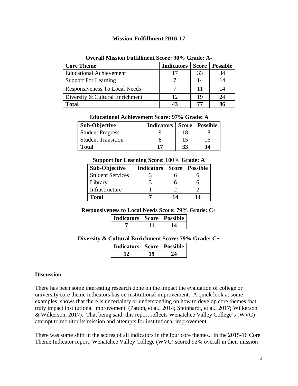# **Mission Fulfillment 2016-17**

| <b>Core Theme</b>               | <b>Indicators</b> | Score | <b>Possible</b> |
|---------------------------------|-------------------|-------|-----------------|
| <b>Educational Achievement</b>  | 17                | 33    | 34              |
| <b>Support For Learning</b>     |                   |       | 14              |
| Responsiveness To Local Needs   |                   |       | 14              |
| Diversity & Cultural Enrichment | 12                |       | 24              |
| <b>Total</b>                    | 43                | 77    | 86              |

#### **Overall Mission Fulfillment Score: 90% Grade: A-**

| <b>Educational Achievement Score: 97% Grade: A</b> |  |  |  |
|----------------------------------------------------|--|--|--|
|----------------------------------------------------|--|--|--|

| <b>Sub-Objective</b>      | <b>Indicators   Score   Possible</b> |    |    |
|---------------------------|--------------------------------------|----|----|
| <b>Student Progress</b>   |                                      | 18 | 18 |
| <b>Student Transition</b> |                                      | 15 | 16 |
| Total                     |                                      | 33 | 34 |

#### **Support for Learning Score: 100% Grade: A**

| <b>Sub-Objective</b>    | <b>Indicators</b> | <b>Score</b> | <b>Possible</b> |
|-------------------------|-------------------|--------------|-----------------|
| <b>Student Services</b> |                   |              |                 |
| Library                 |                   |              |                 |
| Infrastructure          |                   |              |                 |
| <b>Total</b>            |                   | 14           | 14              |

#### **Responsiveness to Local Needs Score: 79% Grade: C+**

| Indicators   Score   Possible |  |
|-------------------------------|--|
|                               |  |

**Diversity & Cultural Enrichment Score: 79% Grade: C+**

| Indicators   Score   Possible |  |
|-------------------------------|--|
|                               |  |

#### **Discussion**

There has been some interesting research done on the impact the evaluation of college or university core theme indicators has on institutional improvement. A quick look at some examples, shows that there is uncertainty or understanding on how to develop core themes that truly impact institutional improvement. (Patton, et al., 2014; Steinhardt, et al., 2017; Wilkerson & Wilkerson, 2017). That being said, this report reflects Wenatchee Valley College's (WVC) attempt to monitor its mission and attempts for institutional improvement.

There was some shift in the scores of all indicators in the four core themes. In the 2015-16 Core Theme Indicator report, Wenatchee Valley College (WVC) scored 92% overall in their mission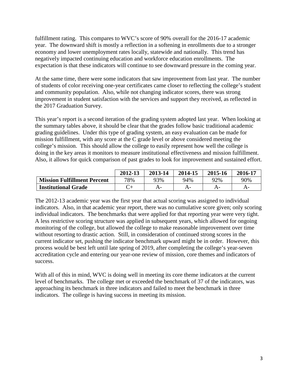fulfillment rating. This compares to WVC's score of 90% overall for the 2016-17 academic year. The downward shift is mostly a reflection in a softening in enrollments due to a stronger economy and lower unemployment rates locally, statewide and nationally. This trend has negatively impacted continuing education and workforce education enrollments. The expectation is that these indicators will continue to see downward pressure in the coming year.

At the same time, there were some indicators that saw improvement from last year. The number of students of color receiving one-year certificates came closer to reflecting the college's student and community population. Also, while not changing indicator scores, there was strong improvement in student satisfaction with the services and support they received, as reflected in the 2017 Graduation Survey.

This year's report is a second iteration of the grading system adopted last year. When looking at the summary tables above, it should be clear that the grades follow basic traditional academic grading guidelines. Under this type of grading system, an easy evaluation can be made for mission fulfillment, with any score at the C grade level or above considered meeting the college's mission. This should allow the college to easily represent how well the college is doing in the key areas it monitors to measure institutional effectiveness and mission fulfillment. Also, it allows for quick comparison of past grades to look for improvement and sustained effort.

|                                    | 2012-13 | 2013-14 | 2014-15 | 2015-16 | 2016-17 |
|------------------------------------|---------|---------|---------|---------|---------|
| <b>Mission Fulfillment Percent</b> | 78%     | 93%     | 94%     | 92%     | 90%     |
| <b>Institutional Grade</b>         |         |         | A-      | А-      | А-      |

The 2012-13 academic year was the first year that actual scoring was assigned to individual indicators. Also, in that academic year report, there was no cumulative score given; only scoring individual indicators. The benchmarks that were applied for that reporting year were very tight. A less restrictive scoring structure was applied in subsequent years, which allowed for ongoing monitoring of the college, but allowed the college to make reasonable improvement over time without resorting to drastic action. Still, in consideration of continued strong scores in the current indicator set, pushing the indicator benchmark upward might be in order. However, this process would be best left until late spring of 2019, after completing the college's year-seven accreditation cycle and entering our year-one review of mission, core themes and indicators of success.

With all of this in mind, WVC is doing well in meeting its core theme indicators at the current level of benchmarks. The college met or exceeded the benchmark of 37 of the indicators, was approaching its benchmark in three indicators and failed to meet the benchmark in three indicators. The college is having success in meeting its mission.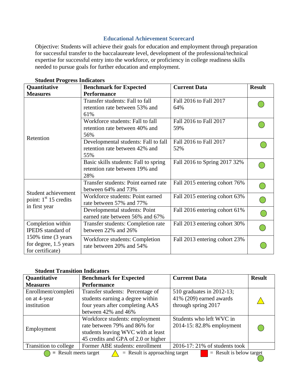# **Educational Achievement Scorecard**

Objective: Students will achieve their goals for education and employment through preparation for successful transfer to the baccalaureate level, development of the professional/technical expertise for successful entry into the workforce, or proficiency in college readiness skills needed to pursue goals for further education and employment.

| Quantitative                                                     | <b>Benchmark for Expected</b>                                                  | <b>Current Data</b>           | <b>Result</b> |
|------------------------------------------------------------------|--------------------------------------------------------------------------------|-------------------------------|---------------|
| <b>Measures</b>                                                  | <b>Performance</b>                                                             |                               |               |
| Retention                                                        | Transfer students: Fall to fall<br>retention rate between 53% and<br>61%       | Fall 2016 to Fall 2017<br>64% |               |
|                                                                  | Workforce students: Fall to fall<br>retention rate between 40% and<br>56%      | Fall 2016 to Fall 2017<br>59% |               |
|                                                                  | Developmental students: Fall to fall<br>retention rate between 42% and<br>55%  | Fall 2016 to Fall 2017<br>52% |               |
|                                                                  | Basic skills students: Fall to spring<br>retention rate between 19% and<br>28% | Fall 2016 to Spring 2017 32%  |               |
| Student achievement                                              | Transfer students: Point earned rate<br>between 64% and 73%                    | Fall 2015 entering cohort 76% |               |
| point: $1st 15$ credits                                          | Workforce students: Point earned<br>rate between 57% and 77%                   | Fall 2015 entering cohort 63% |               |
| in first year                                                    | Developmental students: Point<br>earned rate between 56% and 67%               | Fall 2016 entering cohort 61% |               |
| Completion within<br><b>IPEDS</b> standard of                    | Transfer students: Completion rate<br>between 22% and 26%                      | Fall 2013 entering cohort 30% |               |
| 150% time (3 years)<br>for degree, 1.5 years<br>for certificate) | Workforce students: Completion<br>rate between 20% and 54%                     | Fall 2013 entering cohort 23% |               |

**Student Progress Indicators**

## **Student Transition Indicators**

| Quantitative                                                                              | <b>Benchmark for Expected</b>       | <b>Current Data</b>             | <b>Result</b> |
|-------------------------------------------------------------------------------------------|-------------------------------------|---------------------------------|---------------|
| <b>Measures</b>                                                                           | <b>Performance</b>                  |                                 |               |
| Enrollment/completi                                                                       | Transfer students: Percentage of    | 510 graduates in 2012-13;       |               |
| on at 4-year                                                                              | students earning a degree within    | $41\%$ (209) earned awards      |               |
| institution<br>four years after completing AAS                                            |                                     | through spring 2017             |               |
|                                                                                           | between 42% and 46%                 |                                 |               |
|                                                                                           | Workforce students: employment      | Students who left WVC in        |               |
| Employment                                                                                | rate between 79% and 86% for        | 2014-15: 82.8% employment       |               |
|                                                                                           | students leaving WVC with at least  |                                 |               |
|                                                                                           | 45 credits and GPA of 2.0 or higher |                                 |               |
| Transition to college<br>Former ABE students: enrollment                                  |                                     | $2016-17:21\%$ of students took |               |
| $=$ Result is below target<br>$=$ Result meets target<br>$=$ Result is approaching target |                                     |                                 |               |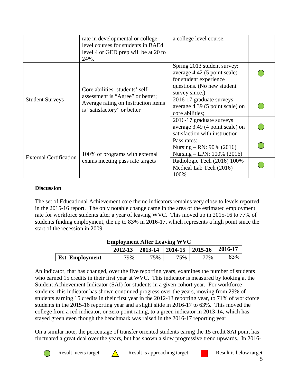|                               | rate in developmental or college-<br>level courses for students in BAEd<br>level 4 or GED prep will be at 20 to<br>24%. | a college level course.                                                                                                               |  |
|-------------------------------|-------------------------------------------------------------------------------------------------------------------------|---------------------------------------------------------------------------------------------------------------------------------------|--|
|                               | Core abilities: students' self-                                                                                         | Spring 2013 student survey:<br>average 4.42 (5 point scale)<br>for student experience<br>questions. (No new student<br>survey since.) |  |
| <b>Student Surveys</b>        | assessment is "Agree" or better;<br>Average rating on Instruction items<br>is "satisfactory" or better                  | 2016-17 graduate surveys:<br>average 4.39 (5 point scale) on<br>core abilities;                                                       |  |
|                               |                                                                                                                         | 2016-17 graduate surveys<br>average 3.49 (4 point scale) on<br>satisfaction with instruction                                          |  |
| <b>External Certification</b> | 100% of programs with external                                                                                          | Pass rates:<br>Nursing – RN: $90\%$ (2016)<br>Nursing – LPN: 100% (2016)                                                              |  |
|                               | exams meeting pass rate targets                                                                                         | Radiologic Tech (2016) 100%<br>Medical Lab Tech (2016)<br>100%                                                                        |  |

## **Discussion**

The set of Educational Achievement core theme indicators remains very close to levels reported in the 2015-16 report. The only notable change came in the area of the estimated employment rate for workforce students after a year of leaving WVC. This moved up in 2015-16 to 77% of students finding employment, the up to 83% in 2016-17, which represents a high point since the start of the recession in 2009.

| $\mathbf{m}$           |         |     |                             |     |         |  |  |  |
|------------------------|---------|-----|-----------------------------|-----|---------|--|--|--|
|                        | 2012-13 |     | 2013-14   2014-15   2015-16 |     | 2016-17 |  |  |  |
| <b>Est. Employment</b> | 79%     | 75% | 75%                         | 77% | 83%     |  |  |  |

## **Employment After Leaving WVC**

An indicator, that has changed, over the five reporting years, examines the number of students who earned 15 credits in their first year at WVC. This indicator is measured by looking at the Student Achievement Indicator (SAI) for students in a given cohort year. For workforce students, this indicator has shown continued progress over the years, moving from 29% of students earning 15 credits in their first year in the 2012-13 reporting year, to 71% of workforce students in the 2015-16 reporting year and a slight slide in 2016-17 to 63%. This moved the college from a red indicator, or zero point rating, to a green indicator in 2013-14, which has stayed green even though the benchmark was raised in the 2016-17 reporting year.

On a similar note, the percentage of transfer oriented students earing the 15 credit SAI point has fluctuated a great deal over the years, but has shown a slow progressive trend upwards. In 2016-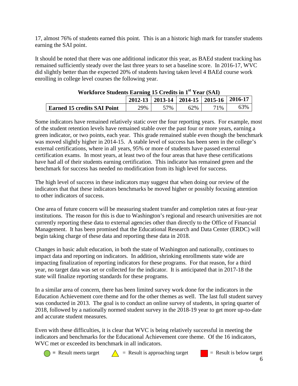17, almost 76% of students earned this point. This is an a historic high mark for transfer students earning the SAI point.

It should be noted that there was one additional indicator this year, as BAEd student tracking has remained sufficiently steady over the last three years to set a baseline score. In 2016-17, WVC did slightly better than the expected 20% of students having taken level 4 BAEd course work enrolling in college level courses the following year.

| Workforce Students Earning 15 Credits in 1 <sup>34</sup> Year (SAI) |     |     |     |     |     |  |  |
|---------------------------------------------------------------------|-----|-----|-----|-----|-----|--|--|
| $\vert$ 2012-13   2013-14   2014-15   2015-16   2016-17             |     |     |     |     |     |  |  |
| <b>Earned 15 credits SAI Point</b>                                  | 29% | 57% | 62% | 71% | 63% |  |  |

 $\mathbf{A} = \mathbf{A}$  **We can be set when** 

Some indicators have remained relatively static over the four reporting years. For example, most of the student retention levels have remained stable over the past four or more years, earning a green indicator, or two points, each year. This grade remained stable even though the benchmark was moved slightly higher in 2014-15. A stable level of success has been seen in the college's external certifications, where in all years, 95% or more of students have passed external certification exams. In most years, at least two of the four areas that have these certifications have had all of their students earning certification. This indicator has remained green and the benchmark for success has needed no modification from its high level for success.

The high level of success in these indicators may suggest that when doing our review of the indicators that that these indicators benchmarks be moved higher or possibly focusing attention to other indicators of success.

One area of future concern will be measuring student transfer and completion rates at four-year institutions. The reason for this is due to Washington's regional and research universities are not currently reporting these data to external agencies other than directly to the Office of Financial Management. It has been promised that the Educational Research and Data Center (ERDC) will begin taking charge of these data and reporting these data in 2018.

Changes in basic adult education, in both the state of Washington and nationally, continues to impact data and reporting on indicators. In addition, shrinking enrollments state wide are impacting finalization of reporting indicators for these programs. For that reason, for a third year, no target data was set or collected for the indicator. It is anticipated that in 2017-18 the state will finalize reporting standards for these programs.

In a similar area of concern, there has been limited survey work done for the indicators in the Education Achievement core theme and for the other themes as well. The last full student survey was conducted in 2013. The goal is to conduct an online survey of students, in spring quarter of 2018, followed by a nationally normed student survey in the 2018-19 year to get more up-to-date and accurate student measures.

Even with these difficulties, it is clear that WVC is being relatively successful in meeting the indicators and benchmarks for the Educational Achievement core theme. Of the 16 indicators, WVC met or exceeded its benchmark in all indicators.



 $\bigcap$  = Result meets target  $\bigcap$  = Result is approaching target  $\bigcap$  = Result is below target

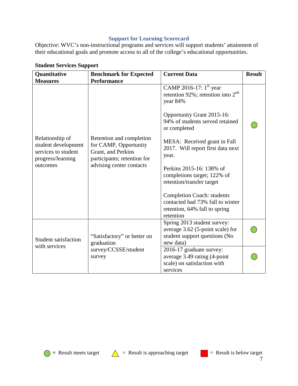## **Support for Learning Scorecard**

Objective: WVC's non-instructional programs and services will support students' attainment of their educational goals and promote access to all of the college's educational opportunities.

| Quantitative                                                                                                      | <b>Benchmark for Expected</b>                                                                                                                            | <b>Current Data</b>                                                                                                                                                                                                                                                                                                                                                                                                                                                 | <b>Result</b> |
|-------------------------------------------------------------------------------------------------------------------|----------------------------------------------------------------------------------------------------------------------------------------------------------|---------------------------------------------------------------------------------------------------------------------------------------------------------------------------------------------------------------------------------------------------------------------------------------------------------------------------------------------------------------------------------------------------------------------------------------------------------------------|---------------|
| <b>Measures</b><br>Relationship of<br>student development<br>services to student<br>progress/learning<br>outcomes | <b>Performance</b><br>Retention and completion<br>for CAMP, Opportunity<br>Grant, and Perkins<br>participants; retention for<br>advising center contacts | CAMP 2016-17: $1^{\text{st}}$ year<br>retention 92%; retention into $2nd$<br>year 84%<br>Opportunity Grant 2015-16:<br>94% of students served retained<br>or completed<br>MESA: Received grant in Fall<br>2017. Will report first data next<br>year.<br>Perkins 2015-16: 138% of<br>completions target; 122% of<br>retention/transfer target<br><b>Completion Coach: students</b><br>contacted had 73% fall to winter<br>retention, 64% fall to spring<br>retention |               |
| Student satisfaction<br>with services                                                                             | "Satisfactory" or better on<br>graduation                                                                                                                | Spring 2013 student survey:<br>average 3.62 (5-point scale) for<br>student support questions (No<br>new data)                                                                                                                                                                                                                                                                                                                                                       |               |
|                                                                                                                   | survey/CCSSE/student<br>survey                                                                                                                           | 2016-17 graduate survey:<br>average 3.49 rating (4-point<br>scale) on satisfaction with<br>services                                                                                                                                                                                                                                                                                                                                                                 |               |

# **Student Services Support**



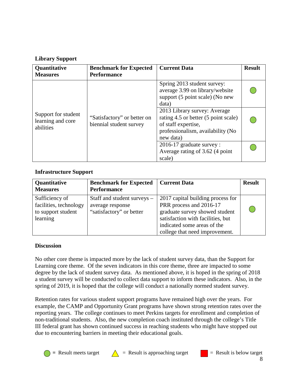# **Library Support**

| Quantitative                                          | <b>Benchmark for Expected</b>                          | <b>Current Data</b>                                                                                                                                                                                                                            | <b>Result</b> |
|-------------------------------------------------------|--------------------------------------------------------|------------------------------------------------------------------------------------------------------------------------------------------------------------------------------------------------------------------------------------------------|---------------|
| <b>Measures</b>                                       | <b>Performance</b>                                     |                                                                                                                                                                                                                                                |               |
| Support for student<br>learning and core<br>abilities | "Satisfactory" or better on<br>biennial student survey | Spring 2013 student survey:<br>average 3.99 on library/website<br>support (5 point scale) (No new<br>data)<br>2013 Library survey: Average<br>rating 4.5 or better (5 point scale)<br>of staff expertise,<br>professionalism, availability (No |               |
|                                                       |                                                        | new data)                                                                                                                                                                                                                                      |               |
|                                                       |                                                        | 2016-17 graduate survey :                                                                                                                                                                                                                      |               |
|                                                       |                                                        | Average rating of 3.62 (4 point                                                                                                                                                                                                                |               |
|                                                       |                                                        | scale)                                                                                                                                                                                                                                         |               |

## **Infrastructure Support**

| Quantitative<br><b>Measures</b>                                            | <b>Benchmark for Expected</b><br><b>Performance</b>                         | <b>Current Data</b>                                                                                                                                                | <b>Result</b> |
|----------------------------------------------------------------------------|-----------------------------------------------------------------------------|--------------------------------------------------------------------------------------------------------------------------------------------------------------------|---------------|
| Sufficiency of<br>facilities, technology<br>to support student<br>learning | Staff and student surveys –<br>average response<br>"satisfactory" or better | 2017 capital building process for<br>PRR process and 2016-17<br>graduate survey showed student<br>satisfaction with facilities, but<br>indicated some areas of the |               |
|                                                                            |                                                                             | college that need improvement.                                                                                                                                     |               |

# **Discussion**

No other core theme is impacted more by the lack of student survey data, than the Support for Learning core theme. Of the seven indicators in this core theme, three are impacted to some degree by the lack of student survey data. As mentioned above, it is hoped in the spring of 2018 a student survey will be conducted to collect data support to inform these indicators. Also, in the spring of 2019, it is hoped that the college will conduct a nationally normed student survey.

Retention rates for various student support programs have remained high over the years. For example, the CAMP and Opportunity Grant programs have shown strong retention rates over the reporting years. The college continues to meet Perkins targets for enrollment and completion of non-traditional students. Also, the new completion coach instituted through the college's Title III federal grant has shown continued success in reaching students who might have stopped out due to encountering barriers in meeting their educational goals.



 $\bigcirc$  = Result meets target  $\bigwedge$  = Result is approaching target  $\bigcirc$  = Result is below target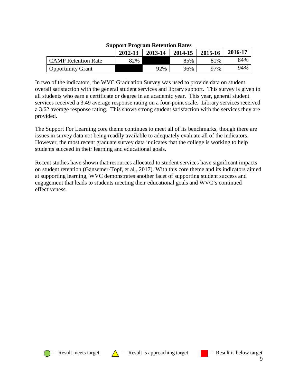|                            | 2012-13 | 2013-14 | 2014-15 | 2015-16 | 2016-17 |
|----------------------------|---------|---------|---------|---------|---------|
| <b>CAMP</b> Retention Rate | 82%     |         | 85%     | 81%     | 84%     |
| Opportunity Grant          |         | 92%     | 96%     | 97%     | 94%     |

#### **Support Program Retention Rates**

In two of the indicators, the WVC Graduation Survey was used to provide data on student overall satisfaction with the general student services and library support. This survey is given to all students who earn a certificate or degree in an academic year. This year, general student services received a 3.49 average response rating on a four-point scale. Library services received a 3.62 average response rating. This shows strong student satisfaction with the services they are provided.

The Support For Learning core theme continues to meet all of its benchmarks, though there are issues in survey data not being readily available to adequately evaluate all of the indicators. However, the most recent graduate survey data indicates that the college is working to help students succeed in their learning and educational goals.

Recent studies have shown that resources allocated to student services have significant impacts on student retention (Gansemer-Topf, et al., 2017). With this core theme and its indicators aimed at supporting learning, WVC demonstrates another facet of supporting student success and engagement that leads to students meeting their educational goals and WVC's continued effectiveness.





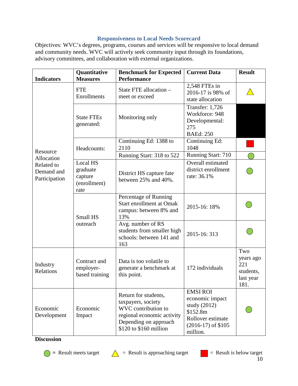# **Responsiveness to Local Needs Scorecard**

Objectives: WVC's degrees, programs, courses and services will be responsive to local demand and community needs. WVC will actively seek community input through its foundations, advisory committees, and collaboration with external organizations.

|                                           | Quantitative                                                                                                     | <b>Benchmark for Expected</b><br><b>Performance</b>                                                                                                | <b>Current Data</b>                                                                                                       | <b>Result</b>                                             |
|-------------------------------------------|------------------------------------------------------------------------------------------------------------------|----------------------------------------------------------------------------------------------------------------------------------------------------|---------------------------------------------------------------------------------------------------------------------------|-----------------------------------------------------------|
| <b>Indicators</b>                         | <b>Measures</b><br><b>FTE</b><br>Enrollments                                                                     | State FTE allocation -<br>meet or exceed                                                                                                           | 2,548 FTEs in<br>2016-17 is 98% of<br>state allocation                                                                    |                                                           |
|                                           | <b>State FTEs</b><br>generated:                                                                                  | Monitoring only                                                                                                                                    | <b>Transfer: 1,726</b><br>Workforce: 948<br>Developmental:<br>275<br><b>BAEd: 250</b>                                     |                                                           |
| Resource                                  | Headcounts:                                                                                                      | Continuing Ed: 1388 to<br>2110                                                                                                                     | Continuing Ed:<br>1048                                                                                                    |                                                           |
| Allocation                                |                                                                                                                  | Running Start: 318 to 522                                                                                                                          | Running Start: 710                                                                                                        |                                                           |
| Related to<br>Demand and<br>Participation | Local HS<br>graduate<br>capture<br>(enrollment)<br>rate                                                          | District HS capture fate<br>between 25% and 40%.                                                                                                   | Overall estimated<br>district enrollment<br>rate: 36.1%                                                                   |                                                           |
|                                           | Small HS                                                                                                         | Percentage of Running<br><b>Start enrollment at Omak</b><br>campus: between 8% and<br>13%                                                          | 2015-16: 18%                                                                                                              |                                                           |
|                                           | outreach                                                                                                         | Avg. number of RS<br>students from smaller high<br>schools: between 141 and<br>163                                                                 | 2015-16: 313                                                                                                              |                                                           |
| Industry<br>Relations                     | Contract and<br>Data is too volatile to<br>employer-<br>generate a benchmark at<br>based training<br>this point. |                                                                                                                                                    | 172 individuals                                                                                                           | Two<br>years ago<br>221<br>students,<br>last year<br>181. |
| Economic<br>Development                   | Economic<br>Impact                                                                                               | Return for students,<br>taxpayers, society<br>WVC contribution to<br>regional economic activity<br>Depending on approach<br>\$120 to \$160 million | <b>EMSI ROI</b><br>economic impact<br>study $(2012)$<br>\$152.8m<br>Rollover estimate<br>$(2016-17)$ of \$105<br>million. |                                                           |

**Discussion**



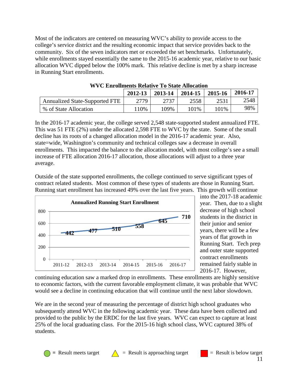Most of the indicators are centered on measuring WVC's ability to provide access to the college's service district and the resulting economic impact that service provides back to the community. Six of the seven indicators met or exceeded the set benchmarks. Unfortunately, while enrollments stayed essentially the same to the 2015-16 academic year, relative to our basic allocation WVC dipped below the 100% mark. This relative decline is met by a sharp increase in Running Start enrollments.

|                                       | 2012-13 | 2013-14 | 2014-15 | 2015-16 | 2016-17 |  |
|---------------------------------------|---------|---------|---------|---------|---------|--|
| <b>Annualized State-Supported FTE</b> | 2779    | 2737    | 2558    | 2531    | 2548    |  |
| % of State Allocation                 | 110%    | 109%    | 101\%   | 101%    | 98%     |  |

**WVC Enrollments Relative To State Allocation**

In the 2016-17 academic year, the college served 2,548 state-supported student annualized FTE. This was 51 FTE (2%) under the allocated 2,598 FTE to WVC by the state. Some of the small decline has its roots of a changed allocation model in the 2016-17 academic year. Also, state=wide, Washington's community and technical colleges saw a decrease in overall enrollments. This impacted the balance to the allocation model, with most college's see a small increase of FTE allocation 2016-17 allocation, those allocations will adjust to a three year average.

Outside of the state supported enrollments, the college continued to serve significant types of contract related students. Most common of these types of students are those in Running Start. Running start enrollment has increased 49% over the last five years. This growth will continue



into the 2017-18 academic year. Then, due to a slight decrease of high school students in the district in their junior and senior years, there will be a few years of flat growth in Running Start. Tech prep and outer state supported contract enrollments remained fairly stable in 2016-17. However,

continuing education saw a marked drop in enrollments. These enrollments are highly sensitive to economic factors, with the current favorable employment climate, it was probable that WVC would see a decline in continuing education that will continue until the next labor slowdown.

We are in the second year of measuring the percentage of district high school graduates who subsequently attend WVC in the following academic year. These data have been collected and provided to the public by the ERDC for the last five years. WVC can expect to capture at least 25% of the local graduating class. For the 2015-16 high school class, WVC captured 38% of students.

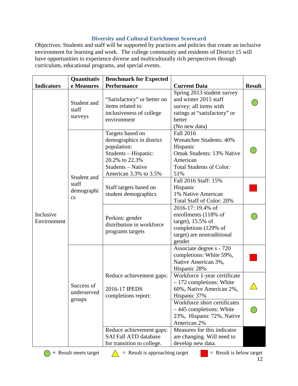# **Diversity and Cultural Enrichment Scorecard**

Objectives: Students and staff will be supported by practices and policies that create an inclusive environment for learning and work. The college community and residents of District 15 will have opportunities to experience diverse and multiculturally rich perspectives through curriculum, educational programs, and special events.

|                          | Quantitativ                                   | <b>Benchmark for Expected</b>                                                                                                                       |                                                                                                                                                                                  |               |  |
|--------------------------|-----------------------------------------------|-----------------------------------------------------------------------------------------------------------------------------------------------------|----------------------------------------------------------------------------------------------------------------------------------------------------------------------------------|---------------|--|
| <b>Indicators</b>        | e Measures                                    | <b>Performance</b>                                                                                                                                  | <b>Current Data</b>                                                                                                                                                              | <b>Result</b> |  |
| Inclusive<br>Environment | Student and<br>staff<br>surveys               | "Satisfactory" or better on<br>items related to<br>inclusiveness of college<br>environment                                                          | Spring 2013 student survey<br>and winter 2015 staff<br>survey: all items with<br>ratings at "satisfactory" or<br>better<br>(No new data)                                         |               |  |
|                          | Student and                                   | Targets based on<br>demographics in district<br>population:<br>Students - Hispanic:<br>20.2% to 22.3%<br>Students - Native<br>American 3.3% to 3.5% | <b>Fall 2016</b><br><b>Wenatchee Students: 40%</b><br>Hispanic<br><b>Omak Students: 13% Native</b><br>American<br><b>Total Students of Color:</b><br>51%<br>Fall 2016 Staff: 15% |               |  |
|                          | staff<br>demographi<br>$\mathbf{c}\mathbf{s}$ | Staff targets based on<br>student demographics                                                                                                      | Hispanic<br>1% Native American<br>Total Staff of Color: 20%                                                                                                                      |               |  |
|                          |                                               | Perkins: gender<br>distribution in workforce<br>programs targets                                                                                    | 2016-17: 19.4% of<br>enrollments (118% of<br>target), $15.5\%$ of<br>completions (129% of<br>target) are nontraditional<br>gender                                                |               |  |
|                          |                                               |                                                                                                                                                     | Associate degree s - 720<br>completions: White 59%,<br>Native American 3%,<br>Hispanic 28%                                                                                       |               |  |
|                          | Success of<br>underserved                     | Reduce achievement gaps:<br>2016-17 IPEDS<br>completions report:                                                                                    | Workforce 1-year certificate<br>$-172$ completions: White<br>60%, Native American 2%,<br>Hispanic 37%                                                                            |               |  |
|                          | groups                                        |                                                                                                                                                     | Workforce short certificates<br>$-445$ completions: White<br>23%, Hispanic 72%, Native<br>American 2%                                                                            |               |  |
|                          |                                               | Reduce achievement gaps:<br><b>SAI Fall ATD database</b><br>for transition to college.                                                              | Measures for this indicator<br>are changing. Will need to<br>develop new data.                                                                                                   |               |  |



 $\bigcirc$  = Result meets target  $\bigwedge$  = Result is approaching target  $\bigcirc$  = Result is below target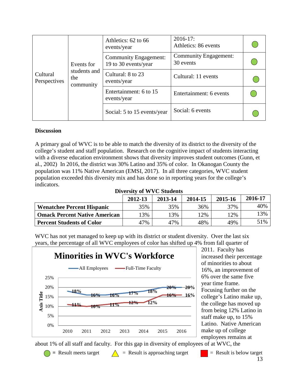| Events for<br>students and<br>Cultural<br>the<br>Perspectives<br>community |                                       | Athletics: 62 to 66<br>events/year                   | $2016 - 17$ :<br>Athletics: 86 events     |                  |
|----------------------------------------------------------------------------|---------------------------------------|------------------------------------------------------|-------------------------------------------|------------------|
|                                                                            |                                       | <b>Community Engagement:</b><br>19 to 30 events/year | <b>Community Engagement:</b><br>30 events |                  |
|                                                                            | Cultural: 8 to 23<br>events/year      | Cultural: 11 events                                  |                                           |                  |
|                                                                            | Entertainment: 6 to 15<br>events/year |                                                      | Entertainment: 6 events                   |                  |
|                                                                            |                                       |                                                      | Social: 5 to 15 events/year               | Social: 6 events |

### **Discussion**

A primary goal of WVC is to be able to match the diversity of its district to the diversity of the college's student and staff population. Research on the cognitive impact of students interacting with a diverse education environment shows that diversity improves student outcomes (Gunn, et al., 2002) In 2016, the district was 30% Latino and 35% of color. In Okanogan County the population was 11% Native American (EMSI, 2017). In all three categories, WVC student population exceeded this diversity mix and has done so in reporting years for the college's indicators.

**Diversity of WVC Students**

|                                      | 2012-13 | 2013-14 | 2014-15 | 2015-16 | 2016-17 |
|--------------------------------------|---------|---------|---------|---------|---------|
| <b>Wenatchee Percent Hispanic</b>    | 35%     | 35%     | 36%     | 37%     | 40%     |
| <b>Omack Percent Native American</b> | $13\%$  | 13%     | 12%     | $12\%$  | 13%     |
| <b>Percent Students of Color</b>     | 47%     | 47%     | 48%     | 49%     | 51%     |

WVC has not yet managed to keep up with its district or student diversity. Over the last six years, the percentage of all WVC employees of color has shifted up 4% from fall quarter of



2011. Faculty has increased their percentage of minorities to about 16%, an improvement of 6% over the same five year time frame. Focusing further on the college's Latino make up, the college has moved up from being 12% Latino in staff make up, to 15% Latino. Native American make up of college employees remains at

about 1% of all staff and faculty. For this gap in diversity of employees of at WVC, the

 $\bigcirc$  = Result meets target  $\bigwedge$  = Result is approaching target  $\bigcirc$  = Result is below target 13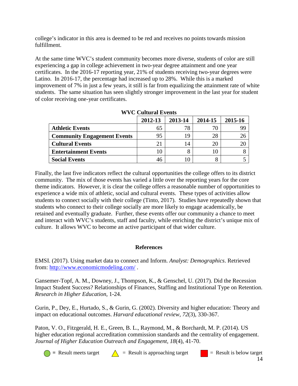college's indicator in this area is deemed to be red and receives no points towards mission fulfillment.

At the same time WVC's student community becomes more diverse, students of color are still experiencing a gap in college achievement in two-year degree attainment and one year certificates. In the 2016-17 reporting year, 21% of students receiving two-year degrees were Latino. In 2016-17, the percentage had increased up to 28%. While this is a marked improvement of 7% in just a few years, it still is far from equalizing the attainment rate of white students. The same situation has seen slightly stronger improvement in the last year for student of color receiving one-year certificates.

|                                    | 2012-13 | 2013-14 | 2014-15 | 2015-16 |  |
|------------------------------------|---------|---------|---------|---------|--|
| <b>Athletic Events</b>             | 65      |         | 70      | 99      |  |
| <b>Community Engagement Events</b> | 95      | 19      | 28      | 26      |  |
| <b>Cultural Events</b>             |         | 14      | 20      | 20      |  |
| <b>Entertainment Events</b>        |         |         | 10      |         |  |
| <b>Social Events</b>               |         |         |         |         |  |

**WVC Cultural Events**

Finally, the last five indicators reflect the cultural opportunities the college offers to its district community. The mix of those events has varied a little over the reporting years for the core theme indicators. However, it is clear the college offers a reasonable number of opportunities to experience a wide mix of athletic, social and cultural events. These types of activities allow students to connect socially with their college (Tinto, 2017). Studies have repeatedly shown that students who connect to their college socially are more likely to engage academically, be retained and eventually graduate. Further, these events offer our community a chance to meet and interact with WVC's students, staff and faculty, while enriching the district's unique mix of culture. It allows WVC to become an active participant of that wider culture.

# **References**

EMSI. (2017). Using market data to connect and Inform. *Analyst: Demographics*. Retrieved from:<http://www.economicmodeling.com/> .

Gansemer-Topf, A. M., Downey, J., Thompson, K., & Genschel, U. (2017). Did the Recession Impact Student Success? Relationships of Finances, Staffing and Institutional Type on Retention. *Research in Higher Education*, 1-24.

Gurin, P., Dey, E., Hurtado, S., & Gurin, G. (2002). Diversity and higher education: Theory and impact on educational outcomes. *Harvard educational review*, *72*(3), 330-367.

Paton, V. O., Fitzgerald, H. E., Green, B. L., Raymond, M., & Borchardt, M. P. (2014). US higher education regional accreditation commission standards and the centrality of engagement. *Journal of Higher Education Outreach and Engagement*, *18*(4), 41-70.



 $\bigcirc$  = Result meets target  $\bigwedge$  = Result is approaching target  $\bigcirc$  = Result is below target